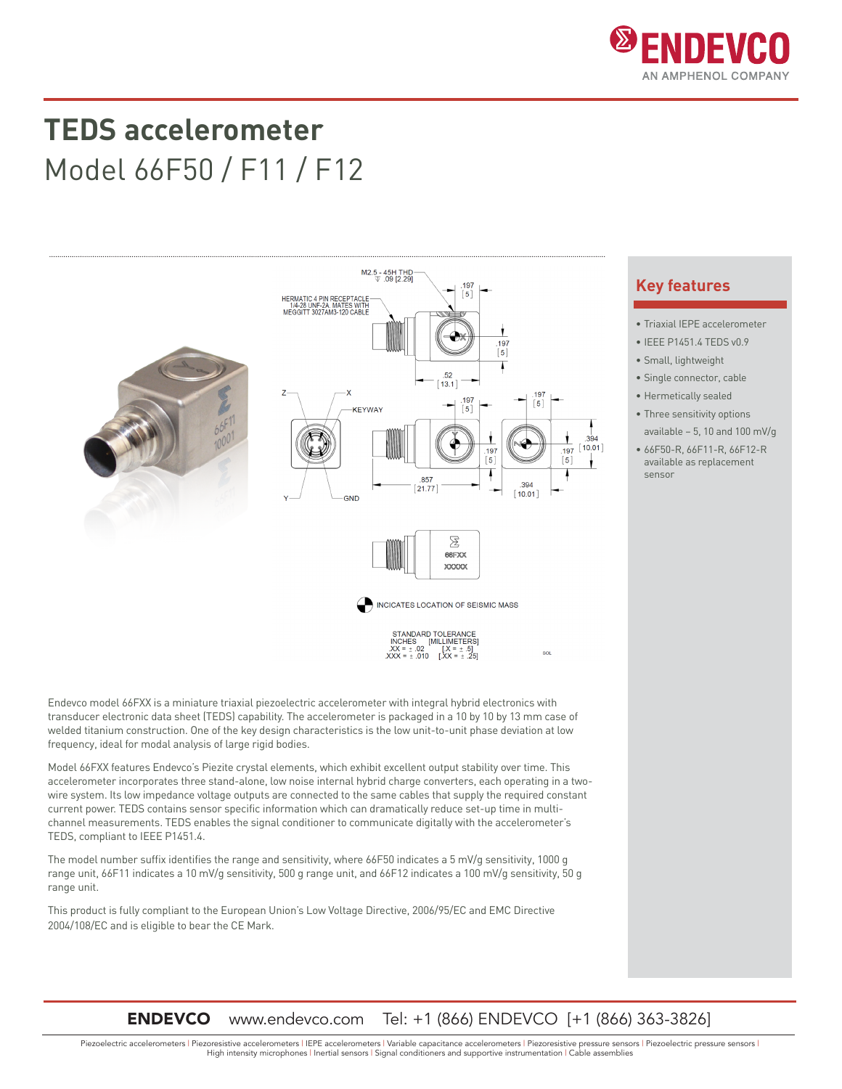

## **TEDS accelerometer** Model 66F50 / F11 / F12



Endevco model 66FXX is a miniature triaxial piezoelectric accelerometer with integral hybrid electronics with transducer electronic data sheet (TEDS) capability. The accelerometer is packaged in a 10 by 10 by 13 mm case of welded titanium construction. One of the key design characteristics is the low unit-to-unit phase deviation at low frequency, ideal for modal analysis of large rigid bodies.

Model 66FXX features Endevco's Piezite crystal elements, which exhibit excellent output stability over time. This accelerometer incorporates three stand-alone, low noise internal hybrid charge converters, each operating in a twowire system. Its low impedance voltage outputs are connected to the same cables that supply the required constant current power. TEDS contains sensor specific information which can dramatically reduce set-up time in multichannel measurements. TEDS enables the signal conditioner to communicate digitally with the accelerometer's TEDS, compliant to IEEE P1451.4.

The model number suffix identifies the range and sensitivity, where 66F50 indicates a 5 mV/g sensitivity, 1000 g range unit, 66F11 indicates a 10 mV/g sensitivity, 500 g range unit, and 66F12 indicates a 100 mV/g sensitivity, 50 g range unit.

This product is fully compliant to the European Union's Low Voltage Directive, 2006/95/EC and EMC Directive 2004/108/EC and is eligible to bear the CE Mark.

## **Key features**

- Triaxial IEPE accelerometer
- IEEE P1451.4 TEDS v0.9
- Small, lightweight
- Single connector, cable
- Hermetically sealed
- Three sensitivity options available – 5, 10 and 100 mV/g
- 66F50-R, 66F11-R, 66F12-R available as replacement sensor

### ENDEVCO www.endevco.com Tel: +1 (866) ENDEVCO [+1 (866) 363-3826]

Piezoelectric accelerometers | Piezoresistive accelerometers | IEPE accelerometers | Variable capacitance accelerometers | Piezoresistive pressure sensors | Piezoelectric pressure sensors | High intensity microphones | Inertial sensors | Signal conditioners and supportive instrumentation | Cable assemblies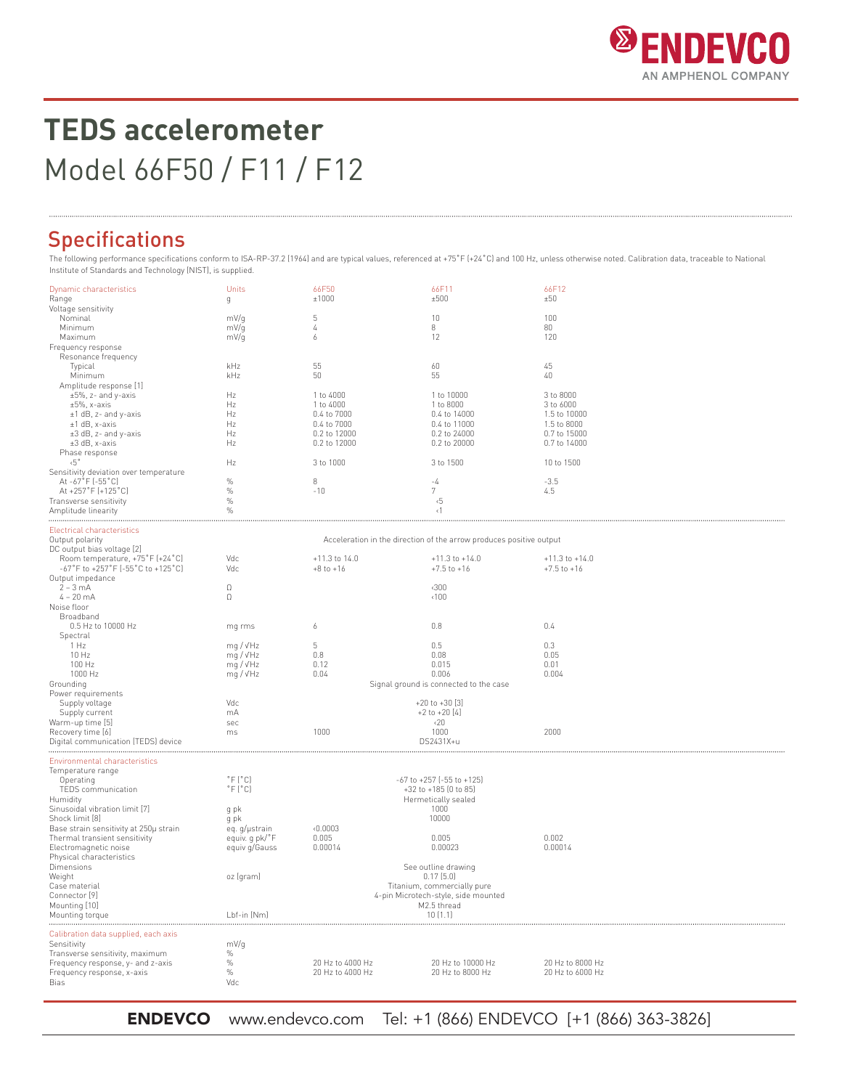

# **TEDS accelerometer** Model 66F50 / F11 / F12

## Specifications

The following performance specifications conform to ISA-RP-37.2 (1964) and are typical values, referenced at +75°F (+24°C) and 100 Hz, unless otherwise noted. Calibration data, traceable to National<br>Institute of Standards

| Dynamic characteristics<br>Range                                        | Units<br>g                                                          | 66F50<br>±1000           | 66F11<br>±500                           | 66F12<br>±50              |  |  |
|-------------------------------------------------------------------------|---------------------------------------------------------------------|--------------------------|-----------------------------------------|---------------------------|--|--|
| Voltage sensitivity                                                     |                                                                     |                          |                                         |                           |  |  |
| Nominal                                                                 | mV/g                                                                | 5                        | 10                                      | 100                       |  |  |
| Minimum<br>Maximum                                                      | mV/g                                                                | $\sqrt{4}$<br>6          | 8<br>12                                 | 80<br>120                 |  |  |
| Frequency response                                                      | mV/g                                                                |                          |                                         |                           |  |  |
| Resonance frequency                                                     |                                                                     |                          |                                         |                           |  |  |
| Typical                                                                 | kHz                                                                 | 55                       | 60                                      | 45                        |  |  |
| Minimum                                                                 | kHz                                                                 | 50                       | 55                                      | 40                        |  |  |
| Amplitude response [1]                                                  |                                                                     |                          |                                         |                           |  |  |
| $\pm 5\%$ , z- and y-axis                                               | Hz                                                                  | 1 to 4000                | 1 to 10000                              | 3 to 8000                 |  |  |
| $\pm 5\%$ , x-axis                                                      | Hz                                                                  | 1 to 4000<br>0.4 to 7000 | 1 to 8000<br>0.4 to 14000               | 3 to 6000<br>1.5 to 10000 |  |  |
| ±1 dB, z- and y-axis<br>±1 dB, x-axis                                   | Hz<br>Hz                                                            | 0.4 to 7000              | 0.4 to 11000                            | 1.5 to 8000               |  |  |
| ±3 dB, z- and y-axis                                                    | Hz                                                                  | 0.2 to 12000             | 0.2 to 24000                            | 0.7 to 15000              |  |  |
| ±3 dB, x-axis                                                           | Hz                                                                  | 0.2 to 12000             | 0.2 to 20000                            | 0.7 to 14000              |  |  |
| Phase response                                                          |                                                                     |                          |                                         |                           |  |  |
| $\overline{5}$ °                                                        | Hz                                                                  | 3 to 1000                | 3 to 1500                               | 10 to 1500                |  |  |
| Sensitivity deviation over temperature                                  |                                                                     |                          |                                         |                           |  |  |
| At -67°F (-55°C)<br>At +257°F (+125°C)                                  | $\%$<br>$\%$                                                        | 8<br>$-10$               | -4<br>7                                 | $-3.5$<br>4.5             |  |  |
| Transverse sensitivity                                                  | $\%$                                                                |                          | $\sqrt{5}$                              |                           |  |  |
| Amplitude linearity                                                     | $\%$                                                                |                          | $\langle$ 1                             |                           |  |  |
|                                                                         |                                                                     |                          |                                         |                           |  |  |
| Electrical characteristics                                              |                                                                     |                          |                                         |                           |  |  |
| Output polarity                                                         | Acceleration in the direction of the arrow produces positive output |                          |                                         |                           |  |  |
| DC output bias voltage [2]                                              | Vdc                                                                 | +11.3 to 14.0            | $+11.3$ to $+14.0$                      | $+11.3$ to $+14.0$        |  |  |
| Room temperature, +75°F (+24°C)<br>-67°F to +257°F (-55°C to +125°C)    | Vdc                                                                 | $+8$ to $+16$            | $+7.5$ to $+16$                         | $+7.5$ to $+16$           |  |  |
| Output impedance                                                        |                                                                     |                          |                                         |                           |  |  |
| $2 - 3$ mA                                                              | $\Omega$                                                            |                          | $\langle 300$                           |                           |  |  |
| $4 - 20 mA$                                                             | $\Omega$                                                            |                          | $\langle 100$                           |                           |  |  |
| Noise floor                                                             |                                                                     |                          |                                         |                           |  |  |
| Broadband                                                               |                                                                     |                          |                                         |                           |  |  |
| 0.5 Hz to 10000 Hz                                                      | mg rms                                                              | 6                        | 0.8                                     | 0.4                       |  |  |
| Spectral<br>1 Hz                                                        | mq / vHz                                                            | 5                        | 0.5                                     | 0.3                       |  |  |
| 10 Hz                                                                   | mg / √Hz                                                            | 0.8                      | 0.08                                    | 0.05                      |  |  |
| 100 Hz                                                                  | mq / vHz                                                            | 0.12                     | 0.015                                   | 0.01                      |  |  |
| 1000 Hz                                                                 | mg / vHz                                                            | 0.04                     | 0.006                                   | 0.004                     |  |  |
| Grounding                                                               | Signal ground is connected to the case                              |                          |                                         |                           |  |  |
| Power requirements                                                      | Vdc                                                                 |                          |                                         |                           |  |  |
| Supply voltage<br>Supply current                                        | mA                                                                  |                          | $+20$ to $+30$ [3]<br>$+2$ to $+20$ [4] |                           |  |  |
| Warm-up time [5]                                                        | sec                                                                 |                          | $\langle 20$                            |                           |  |  |
| Recovery time [6]                                                       | ms                                                                  | 1000                     | 1000                                    | 2000                      |  |  |
| Digital communication (TEDS) device                                     |                                                                     |                          | DS2431X+u                               |                           |  |  |
|                                                                         |                                                                     |                          |                                         |                           |  |  |
| Environmental characteristics                                           |                                                                     |                          |                                         |                           |  |  |
| Temperature range<br>Operating                                          | $\degree$ F $\degree$ Cl                                            |                          | $-67$ to $+257$ ( $-55$ to $+125$ )     |                           |  |  |
| TEDS communication                                                      | $\degree$ F $\degree$ Cl                                            | +32 to +185 (0 to 85)    |                                         |                           |  |  |
| Humidity                                                                |                                                                     | Hermetically sealed      |                                         |                           |  |  |
| Sinusoidal vibration limit [7]                                          | g pk                                                                |                          | 1000                                    |                           |  |  |
| Shock limit [8]                                                         | g pk                                                                |                          | 10000                                   |                           |  |  |
| Base strain sensitivity at 250µ strain<br>Thermal transient sensitivity | eq. g/µstrain<br>equiv. q pk/°F                                     | 0.0003<br>0.005          | 0.005                                   | 0.002                     |  |  |
| Electromagnetic noise                                                   | equiv g/Gauss                                                       | 0.00014                  | 0.00023                                 | 0.00014                   |  |  |
| Physical characteristics                                                |                                                                     |                          |                                         |                           |  |  |
| Dimensions                                                              |                                                                     |                          | See outline drawing                     |                           |  |  |
| Weight                                                                  | oz (gram)                                                           |                          | 0.17(5.0)                               |                           |  |  |
| Case material                                                           | Titanium, commercially pure                                         |                          |                                         |                           |  |  |
| Connector [9]                                                           | 4-pin Microtech-style, side mounted<br>M2.5 thread                  |                          |                                         |                           |  |  |
| Mounting [10]<br>Mounting torque                                        | Lbf-in (Nm)                                                         |                          | 10(1.1)                                 |                           |  |  |
|                                                                         |                                                                     |                          |                                         |                           |  |  |
| Calibration data supplied, each axis                                    |                                                                     |                          |                                         |                           |  |  |
| Sensitivity                                                             | mV/g                                                                |                          |                                         |                           |  |  |
| Transverse sensitivity, maximum                                         | $\%$<br>$\%$                                                        | 20 Hz to 4000 Hz         | 20 Hz to 10000 Hz                       | 20 Hz to 8000 Hz          |  |  |
| Frequency response, y- and z-axis<br>Frequency response, x-axis         | $\%$                                                                | 20 Hz to 4000 Hz         | 20 Hz to 8000 Hz                        | 20 Hz to 6000 Hz          |  |  |
| Bias                                                                    | Vdc                                                                 |                          |                                         |                           |  |  |
|                                                                         |                                                                     |                          |                                         |                           |  |  |

ENDEVCO www.endevco.com Tel: +1 (866) ENDEVCO [+1 (866) 363-3826]